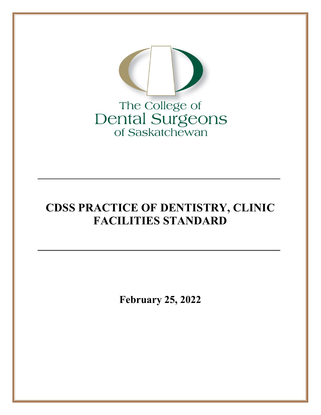

# **CDSS PRACTICE OF DENTISTRY, CLINIC FACILITIES STANDARD**

**\_\_\_\_\_\_\_\_\_\_\_\_\_\_\_\_\_\_\_\_\_\_\_\_\_\_\_\_\_\_\_\_\_\_\_\_\_\_\_\_\_\_\_\_\_\_\_\_\_\_\_\_**

**\_\_\_\_\_\_\_\_\_\_\_\_\_\_\_\_\_\_\_\_\_\_\_\_\_\_\_\_\_\_\_\_\_\_\_\_\_\_\_\_\_\_\_\_\_\_\_\_\_\_\_\_**

**February 25, 2022**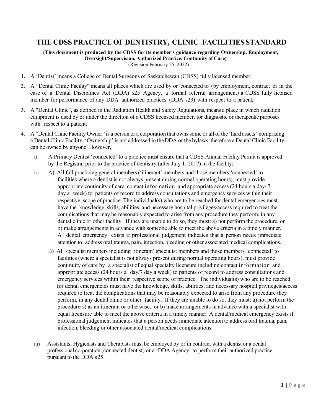### **THE CDSS PRACTICE OF DENTISTRY, CLINIC FACILITIES STANDARD**

**(This document is produced by the CDSS for its member's guidance regarding Ownership, Employment, Oversight/Supervision, Authorized Practice, Continuity of Care)** (Revision February 25, 2022)

- **1.** A 'Dentist' means a College of Dental Surgeons of Saskatchewan (CDSS) fully licensed member.
- **2.** A "Dental Clinic Facility" means all places which are used by or 'connected to' (by employment, contract or in the case of a Dental Disciplines Act (DDA) s25 Agency, a formal referral arrangement) a CDSS fully licensed member for performance of any DDA 'authorized practices' (DDA s23) with respect to a patient;
- **3.** A "Dental Clinic", as defined in the Radiation Health and Safety Regulations, means a place in which radiation equipment is used by or under the direction of a CDSS licensed member, for diagnostic or therapeutic purposes with respect to a patient;
- **4.** A "Dental Clinic Facility Owner" is a person or a corporation that ownssome or all of the 'hard assets' comprising a Dental Clinic Facility. 'Ownership' is not addressed in theDDA or the bylaws, therefore a Dental Clinic Facility can be owned by anyone. However,
	- i) A Primary Dentist 'connected' to a practice must ensure that a CDSS Annual Facility Permit is approved by the Registrar prior to the practice of dentistry (after July 1, 2017) in the facility;
	- ii) A) All full practicing general members('itinerant' members and those members 'connected' to facilities where a dentist is not always present during normal operating hours), must provide appropriate continuity of care, contact information and appropriate access (24 hours a day/ 7 day a week) to patients of record to address consultations and emergency services within their respective scope of practice. The individual(s) who are to be reached for dental emergencies must have the knowledge, skills, abilities, and necessary hospital privileges/access required to treat the complications that may be reasonably expected to arise from any procedure they perform, in any dental clinic or other facility. If they are unable to do so, they must: a) not perform the procedure, or b) make arrangements in advance with someone able to meet the above criteria in a timely manner. A dental emergency exists if professional judgement indicates that a person needs immediate attention to address oral trauma, pain, infection, bleeding or other associated medical complications.
		- B) All specialist members including 'itinerant' specialist members and those members 'connected' to facilities (where a specialist is not always present during normal operating hours), must provide continuity of care by a specialist of equal specialty licensure including contact information and appropriate access (24 hours a day/7 day a week) to patients of record to address consultations and emergency services within their respective scope of practice. The individual(s) who are to be reached for dental emergencies must have the knowledge, skills, abilities, and necessary hospital privileges/access required to treat the complications that may be reasonably expected to arise from any procedure they perform, in any dental clinic or other facility. If they are unable to do so, they must: a) not perform the procedure(s) as an itinerant or otherwise, or b) make arrangements in advance with a specialist with equal licensure able to meet the above criteria in a timely manner. A dental/medical emergency exists if professional judgement indicates that a person needs immediate attention to address oral trauma, pain, infection, bleeding or other associated dental/medical complications.
	- iii) Assistants, Hygienists and Therapists must be employed by or in contract with a dentist or a dental professional corporation (connected dentist) or a 'DDA Agency' to perform their authorized practice pursuant to the DDA s25.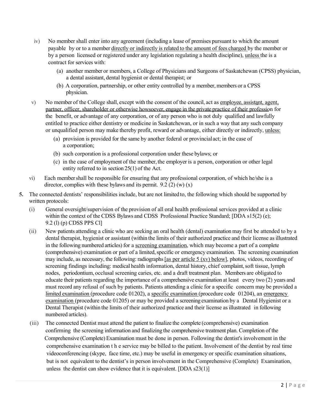- iv) No member shall enter into any agreement (including a lease of premises pursuant to which the amount payable by or to a member directly or indirectly is related to the amount of fees charged by the member or by a person licensed or registered under any legislation regulating a health discipline), unless the is a contract for services with:
	- (a) another member or members, a College of Physicians and Surgeons of Saskatchewan (CPSS) physician, a dental assistant, dental hygienist or dental therapist; or
	- (b) A corporation, partnership, or other entity controlled by a member, members or a CPSS physician.
- v) No member of the College shall, except with the consent of the council, act as employee, assistant, agent, partner, officer, shareholder or otherwise howsoever, engage in the private practice of their profession for the benefit, or advantage of any corporation, or of any person who is not duly qualified and lawfully entitled to practice either dentistry or medicine in Saskatchewan, or in such a way that any such company or unqualified person may make thereby profit, reward or advantage, either directly or indirectly, unless:
	- (a) provision is provided for the same by another federal or provincialact; in the case of a corporation;
	- (b) such corporation is a professional corporation under these bylaws; or
	- (c) in the case of employment of the member, the employer is a person, corporation or other legal entity referred to in section 25(1) of the Act.
- vi) Each membershall be responsible for ensuring that any professional corporation, of which he/she is a director, complies with these bylaws and its permit.  $9.2$  (2) (w) (x)
- **5.** The connected dentists' responsibilities include, but are not limited to, the following which should be supported by written protocols:
	- (i) General oversight/supervision of the provision of all oral health professional services provided at a clinic within the context of the CDSS Bylaws and CDSS Professional Practice Standard; [DDA s15(2) (e); 9.2 (l) (p) CDSS PPS Cl]
	- (ii) New patients attending a clinic who are seeking an oral health (dental) examination may first be attended to by a dental therapist, hygienist or assistant (within the limits of their authorized practice and their license asillustrated in the following numbered articles) for a screening examination, which may become a part of a complete (comprehensive) examination or part of a limited, specific or emergency examination. The screening examination may include, as necessary, the following: radiographs [as per article 5 (xv) below], photos, videos, recording of screening findings including: medical health information, dental history, chief complaint, soft tissue, lymph nodes, periodontium, occlusal screening caries, etc. and a draft treatment plan. Members are obligated to educate their patients regarding the importance of a comprehensive examination at least every two (2) years and must record any refusal of such by patients. Patients attending a clinic for a specific concern may be provided a limited examination (procedure code 01202), a specific examination (procedure code 01204), an emergency examination (procedure code 01205) or may be provided a screening examination by a Dental Hygienist or a Dental Therapist (within the limits of their authorized practice and their license as illustrated in following numbered articles).
	- (iii) The connected Dentist must attend the patient to finalize the complete (comprehensive) examination confirming the screening information and finalizing the comprehensive treatment plan. Completion of the Comprehensive (Complete) Examination must be done in person. Following the dentist's involvement in the comprehensive examination t h e service may be billed to the patient. Involvement of the dentist by real time videoconferencing (skype, face time, etc.) may be useful in emergency or specific examination situations, but is not equivalent to the dentist's in person involvement in the Comprehensive (Complete) Examination, unless the dentist can show evidence that it is equivalent. [DDA s23(1)]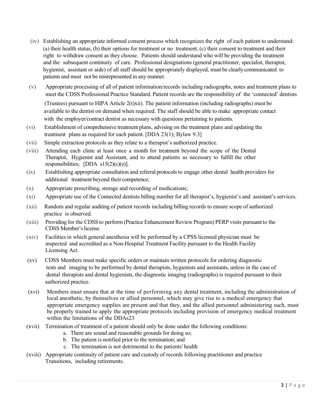- (iv) Establishing an appropriate informed consent process which recognizes the right of each patient to understand: (a) their health status, (b) their options for treatment or no treatment, (c) their consent to treatment and their right to withdraw consent as they choose. Patients should understand who will be providing the treatment and the subsequent continuity of care. Professional designations (general practitioner, specialist, therapist, hygienist, assistant or aide) of all staff should be appropriately displayed, must be clearlycommunicated to patients and must not be misrepresented in any manner.
- (v) Appropriate processing of all of patient information/records including radiographs, notes and treatment plans to meet the CDSS Professional Practice Standard. Patient records are the responsibility of the 'connected' dentists

(Trustees) pursuant to HIPA Article  $2(t)xii$ i). The patient information (including radiographs) must be available to the dentist on demand when required. The staff should be able to make appropriate contact with the employer/contract dentist as necessary with questions pertaining to patients.

- (vi) Establishment of comprehensive treatment plans, advising on the treatment plans and updating the treatment plans as required for each patient. [DDA 23(1); Bylaw 9.3]
- (vii) Simple extraction protocols as they relate to a therapist's authorized practice.
- (viii) Attending each clinic at least once a month for treatment beyond the scope of the Dental Therapist, Hygienist and Assistant, and to attend patients as necessary to fulfill the other responsibilities; [DDA  $s15(2)(e)(e)$ ].
- (ix) Establishing appropriate consultation and referral protocolsto engage other dental health providers for additional treatment beyond their competence;
- (x) Appropriate prescribing, storage and recording of medications;
- (xi) Appropriate use of the Connected dentists billing number for all therapist's, hygienist's and assistant's services.
- (xii) Random and regular auditing of patient records including billing records to ensure scope of authorized practice is observed.
- (xiii) Providing for the CDSS to perform (Practice Enhancement Review Program) PERP visits pursuant to the CDSS Member'slicense.
- (xiv) Facilities in which general anesthesia will be performed by a CPSS licensed physician must be inspected and accredited as a Non-Hospital Treatment Facility pursuant to the Health Facility Licensing Act.
- (xv) CDSS Members must make specific orders or maintain written protocols for ordering diagnostic tests and imaging to be performed by dental therapists, hygienists and assistants, unless in the case of dental therapists and dental hygienists, the diagnostic imaging (radiographs) is required pursuant to their authorized practice.
- (xvi) Members must ensure that at the time of performing any dental treatment, including the administration of local anesthetic, by themselves or allied personnel, which may give rise to a medical emergency that appropriate emergency supplies are present and that they, and the allied personnel administering such, must be properly trained to apply the appropriate protocols including provision of emergency medical treatment within the limitations of the DDAs23
- (xvii) Termination of treatment of a patient should only be done under the following conditions:
	- a. There are sound and reasonable grounds for doing so;
	- b. The patient is notified prior to the termination; and
	- c. The termination is not detrimental to the patients' health
- (xviii) Appropriate continuity of patient care and custody of records following practitioner and practice Transitions, including retirements.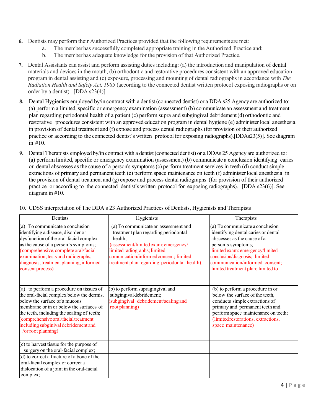- **6.** Dentists may perform their Authorized Practices provided that the following requirements are met:
	- a. The member has successfully completed appropriate training in the Authorized Practice and;
	- b. The member has adequate knowledge for the provision of that Authorized Practice.
- **7.** Dental Assistants can assist and perform assisting duties including: (a) the introduction and manipulation of dental materials and devices in the mouth, (b) orthodontic and restorative procedures consistent with an approved education program in dental assisting and (c) exposure, processing and mounting of dental radiographs in accordance with *The Radiation Health and Safety Act, 1985* (according to the connected dentist written protocol exposing radiographs or on order by a dentist). [DDA s23(4)]
- **8.** Dental Hygienists employed by/in contract with a dentist (connected dentist) or a DDA s25 Agency are authorized to: (a) perform a limited, specific or emergency examination (assessment) (b) communicate an assessment and treatment plan regarding periodontal health of a patient (c) perform supra and subgingival debridement(d) orthodontic and restorative procedures consistent with an approved education program in dental hygiene (e) administer local anesthesia in provision of dental treatment and (f) expose and process dental radiographs (for provision of their authorized practice or according to the connected dentist's written protocol for exposing radiographs).[DDAs23(5)]. See diagram in #10.
- **9.** Dental Therapists employed by/in contract with a dentist (connected dentist) or a DDAs 25 Agency are authorized to: (a) perform limited, specific or emergency examination (assessment) (b) communicate a conclusion identifying caries or dental abscesses as the cause of a person's symptoms(c) perform treatment services in teeth (d) conduct simple extractions of primary and permanent teeth (e) perform space maintenance on teeth (f) administer local anesthesia in the provision of dental treatment and (g) expose and process dental radiographs (for provision of their authorized practice or according to the connected dentist's written protocol for exposing radiographs). [DDA s23(6)]. See diagram in #10.

| Dentists                                                                                                                                                                                                                                                                                                              | Hygienists                                                                                                                                                                                                                                                | Therapists                                                                                                                                                                                                                                                               |
|-----------------------------------------------------------------------------------------------------------------------------------------------------------------------------------------------------------------------------------------------------------------------------------------------------------------------|-----------------------------------------------------------------------------------------------------------------------------------------------------------------------------------------------------------------------------------------------------------|--------------------------------------------------------------------------------------------------------------------------------------------------------------------------------------------------------------------------------------------------------------------------|
| (a) To communicate a conclusion<br>identifying a disease, disorder or<br>dysfunction of the oral-facial complex<br>as the cause of a person's symptoms;<br>(comprehensive, complete oral/facial<br>examination, tests and radiographs,<br>diagnosis, treatment planning, informed<br>consent process)                 | (a) To communicate an assessment and<br>treatment plan regarding periodontal<br>health;<br>(assessment/limited exam: emergency/<br>limited radiographs; limited<br>comunication/informedconsent; limited<br>treatment plan regarding periodontal health). | (a) To communicate a conclusion<br>identifying dental caries or dental<br>abscesses as the cause of a<br>person's symptoms;<br>limited exam: emergency/limited<br>conclusion/diagnosis; limited<br>communication/informed consent;<br>limited treatment plan; limited to |
| (a) to perform a procedure on tissues of<br>the oral-facial complex below the dermis,<br>below the surface of a mucous<br>membrane or in or below the surfaces of<br>the teeth, including the scaling of teeth;<br>(comprehensive oral/facial treatment<br>including subginival debridement and<br>/or root planning) | b) to perform supragingival and<br>subgingival debridement;<br>(subgingival debridement/scaling and<br>root planning)                                                                                                                                     | (b) to perform a procedure in or<br>below the surface of the teeth,<br>conducts simple extractions of<br>primary and permanent teeth and<br>perform space maintenance on teeth;<br>(limited restorations, extractions,<br>space maintenance)                             |
| $(c)$ to harvest tissue for the purpose of<br>surgery on the oral-facial complex;                                                                                                                                                                                                                                     |                                                                                                                                                                                                                                                           |                                                                                                                                                                                                                                                                          |
| (d) to correct a fracture of a bone of the<br>oral-facial complex or correct a<br>dislocation of a joint in the oral-facial<br>complex;                                                                                                                                                                               |                                                                                                                                                                                                                                                           |                                                                                                                                                                                                                                                                          |

**10.** CDSS interpretation of The DDA s 23 Authorized Practices of Dentists, Hygienists and Therapists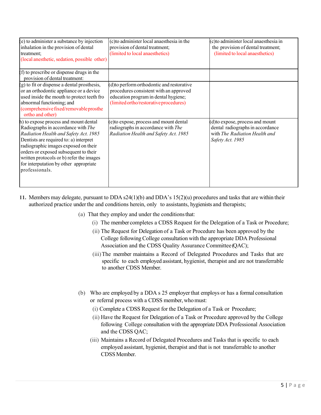| (e) to administer a substance by injection<br>inhalation in the provision of dental<br>treatment;<br>(local anesthetic, sedation, possible other)                                                                                                                                                                                                       | (c) to administer local anaes the sia in the<br>provision of dental treatment;<br>(limited to local anaesthetics)                                                      | (c) to administer local anaesthesia in<br>the provision of dental treatment;<br>(limited to local anaesthetics)           |
|---------------------------------------------------------------------------------------------------------------------------------------------------------------------------------------------------------------------------------------------------------------------------------------------------------------------------------------------------------|------------------------------------------------------------------------------------------------------------------------------------------------------------------------|---------------------------------------------------------------------------------------------------------------------------|
| (f) to prescribe or dispense drugs in the<br>provision of dental treatment:                                                                                                                                                                                                                                                                             |                                                                                                                                                                        |                                                                                                                           |
| (g) to fit or dispense a dental prosthesis,<br>or an orthodontic appliance or a device<br>used inside the mouth to protect teeth fro<br>abnormal functioning; and<br>(comprehensive fixed/removable prosthe<br>ortho and other)                                                                                                                         | (d) to perform orthodontic and restorative<br>procedures consistent with an approved<br>education program in dental hygiene;<br>(limited ortho/restorative procedures) |                                                                                                                           |
| h) to expose process and mount dental<br>Radiographs in accordance with The<br>Radiation Health and Safety Act. 1985<br>Dentists are required to: a) interpret<br>radiographic images exposed on their<br>orders or exposed subsequent to their<br>written protocols or b) refer the images<br>for interputation by other appropriate<br>professionals. | (e) to expose, process and mount dental<br>radiographs in accordance with The<br>Radiation Health and Safety Act. 1985                                                 | (d) to expose, process and mount<br>dental radiographs in accordance<br>with The Radiation Health and<br>Safety Act. 1985 |

- **11.** Members may delegate, pursuant to DDA s24(1)(b) and DDA's 15(2)(u) procedures and tasks that are within their authorized practice under the and conditions herein, only to assistants, hygienists and therapists;
	- (a) That they employ and under the conditionsthat:
		- (i) The member completes a CDSS Request for the Delegation of a Task or Procedure;
		- (ii) The Request for Delegation of a Task or Procedure has been approved by the College following College consultation with the appropriate DDA Professional Association and the CDSS Quality Assurance Committee(QAC);
		- (iii)The member maintains a Record of Delegated Procedures and Tasks that are specific to each employed assistant, hygienist, therapist and are not transferrable to another CDSS Member.
	- (b) Who are employed by a DDA s 25 employerthat employs or has a formal consultation or referral process with a CDSS member, whomust:
		- (i) Complete a CDSS Request for the Delegation of a Task or Procedure;
		- (ii) Have the Request for Delegation of a Task or Procedure approved by the College following College consultation with the appropriate DDA Professional Association and the CDSS QAC;
		- (iii) Maintains a Record of Delegated Procedures and Tasks that is specific to each employed assistant, hygienist, therapist and that is not transferrable to another CDSSMember.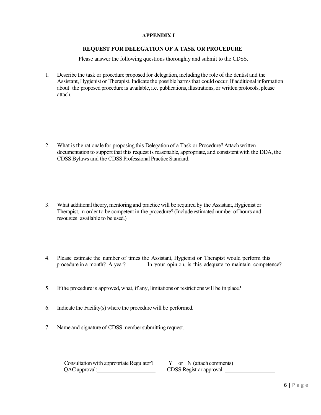#### **APPENDIX I**

#### **REQUEST FOR DELEGATION OF A TASK OR PROCEDURE**

Please answer the following questions thoroughly and submit to the CDSS.

1. Describe the task or procedure proposed for delegation, including the role of the dentist and the Assistant, Hygienist or Therapist. Indicate the possible harmsthat could occur. If additional information about the proposed procedure is available, i.e. publications, illustrations, or written protocols, please attach.

- 2. What is the rationale for proposing this Delegation of a Task or Procedure? Attach written documentation to support that this request is reasonable, appropriate, and consistent with the DDA, the CDSS Bylaws and the CDSS Professional Practice Standard.
- 3. What additional theory, mentoring and practice will be required by the Assistant, Hygienist or Therapist, in order to be competent in the procedure? (Include estimated number of hours and resources available to be used.)
- 4. Please estimate the number of times the Assistant, Hygienist or Therapist would perform this procedure in a month? A year? In your opinion, is this adequate to maintain competence?
- 5. If the procedure is approved, what, if any, limitations or restrictions will be in place?
- 6. Indicate the Facility(s) where the procedure will be performed.
- 7. Name and signature of CDSS membersubmitting request.

Consultation with appropriate Regulator?  $Y$  or N (attach comments) QAC approval: CDSS Registrar approval: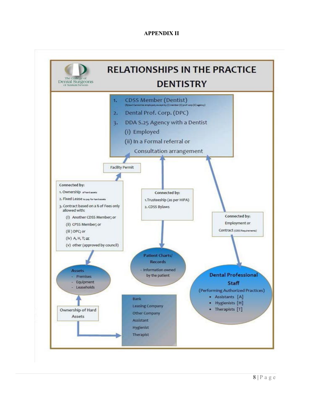#### **APPENDIX II**

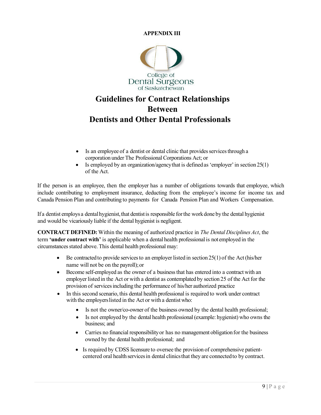#### **APPENDIX III**



## **Guidelines for Contract Relationships Between Dentists and Other Dental Professionals**

- Is an employee of a dentist or dental clinic that provides services through a corporation under The Professional Corporations Act; or
- Is employed by an organization/agency that is defined as 'employer' in section  $25(1)$ of the Act.

If the person is an employee, then the employer has a number of obligations towards that employee, which include contributing to employment insurance, deducting from the employee's income for income tax and Canada Pension Plan and contributing to payments for Canada Pension Plan and Workers Compensation.

If a dentist employs a dental hygienist, that dentist is responsible for the work done by the dental hygienist and would be vicariously liable if the dental hygienist is negligent.

**CONTRACT DEFINED:** Within the meaning of authorized practice in *The Dental Disciplines Act*, the term **'under contract with'** is applicable when a dental health professional is not employed in the circumstances stated above. This dental health professional may:

- Be contracted to provide services to an employer listed in section  $25(1)$  of the Act (his/her name will not be on the payroll);or
- Become self-employed as the owner of a businessthat has entered into a contract with an employer listed in the Act or with a dentist as contemplated by section 25 of the Act for the provision of services including the performance of his/her authorized practice
- In this second scenario, this dental health professional is required to work under contract with the employerslisted in the Act or with a dentist who:
	- Is not the owner/co-owner of the business owned by the dental health professional;
	- Is not employed by the dental health professional (example: hygienist) who owns the business; and
	- Carries no financial responsibility or has no management obligation for the business owned by the dental health professional; and
	- Is required by CDSS licensure to oversee the provision of comprehensive patientcentered oral health servicesin dental clinicsthat they are connected to by contract.